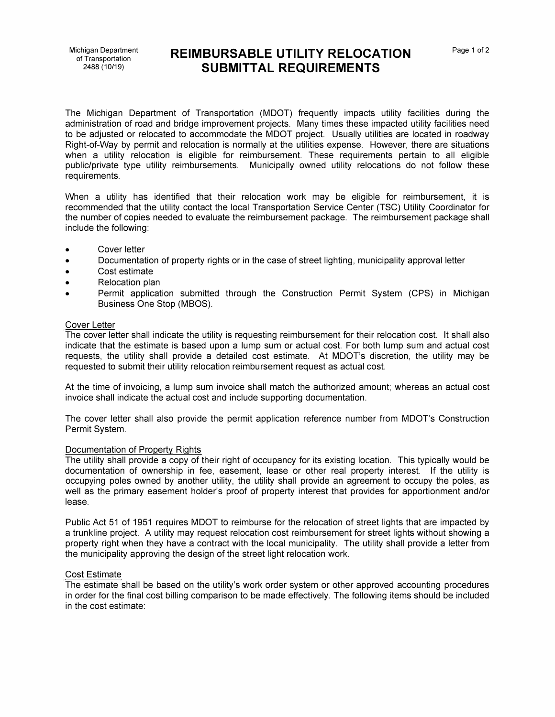# Michigan Department **REIMBURSABLE UTILITY RELOCATION** Page 1 of 2 2488 (10/19) **SUBMITTAL REQUIREMENTS**

The Michigan Department of Transportation (MDOT) frequently impacts utility facilities during the administration of road and bridge improvement projects. Many times these impacted utility facilities need to be adjusted or relocated to accommodate the MDOT project. Usually utilities are located in roadway Right-of-Way by permit and relocation is normally at the utilities expense. However, there are situations when a utility relocation is eligible for reimbursement. These requirements pertain to all eligible public/private type utility reimbursements. Municipally owned utility relocations do not follow these requirements.

When a utility has identified that their relocation work may be eligible for reimbursement, it is recommended that the utility contact the local Transportation Service Center (TSC) Utility Coordinator for the number of copies needed to evaluate the reimbursement package. The reimbursement package shall include the following:

- Cover letter
- Documentation of property rights or in the case of street lighting, municipality approval letter
- Cost estimate
- Relocation plan
- Permit application submitted through the Construction Permit System (CPS) in Michigan Business One Stop (MBOS).

## Cover Letter

The cover letter shall indicate the utility is requesting reimbursement for their relocation cost. It shall also indicate that the estimate is based upon a lump sum or actual cost. For both lump sum and actual cost requests, the utility shall provide a detailed cost estimate. At MDOT's discretion, the utility may be requested to submit their utility relocation reimbursement request as actual cost.

At the time of invoicing, a lump sum invoice shall match the authorized amount; whereas an actual cost invoice shall indicate the actual cost and include supporting documentation.

The cover letter shall also provide the permit application reference number from MDOT's Construction Permit System.

## Documentation of Property Rights

The utility shall provide a copy of their right of occupancy for its existing location. This typically would be documentation of ownership in fee, easement, lease or other real property interest. If the utility is occupying poles owned by another utility, the utility shall provide an agreement to occupy the poles, as well as the primary easement holder's proof of property interest that provides for apportionment and/or lease.

Public Act 51 of 1951 requires MDOT to reimburse for the relocation of street lights that are impacted by a trunkline project. A utility may request relocation cost reimbursement for street lights without showing a property right when they have a contract with the local municipality. The utility shall provide a letter from the municipality approving the design of the street light relocation work.

### Cost Estimate

The estimate shall be based on the utility's work order system or other approved accounting procedures in order for the final cost billing comparison to be made effectively. The following items should be included in the cost estimate: